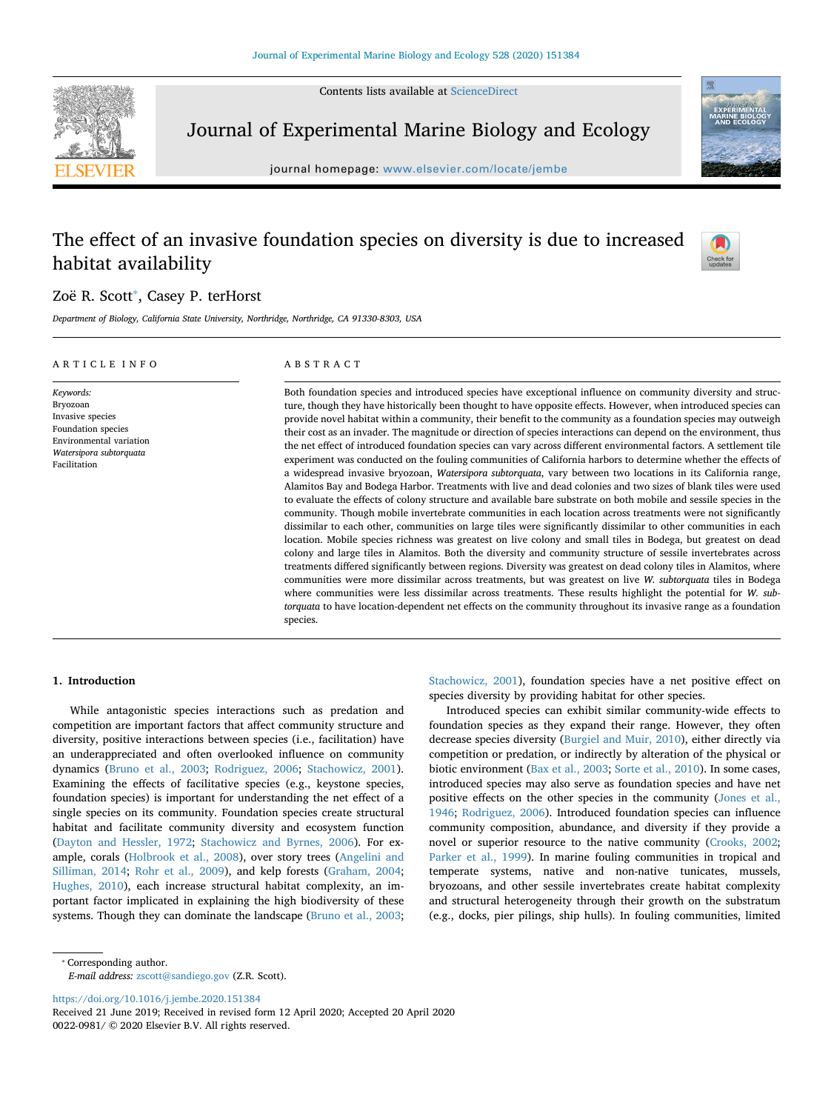Contents lists available at [ScienceDirect](http://www.sciencedirect.com/science/journal/00220981)



Journal of Experimental Marine Biology and Ecology

journal homepage: [www.elsevier.com/locate/jembe](https://www.elsevier.com/locate/jembe)

# The effect of an invasive foundation species on diversity is due to increased habitat availability



# Zoë R. Scott<sup>\*</sup>, Casey P. terHorst

*Department of Biology, California State University, Northridge, Northridge, CA 91330-8303, USA*

#### ARTICLE INFO *Keywords:* Bryozoan Invasive species Foundation species Environmental variation *Watersipora subtorquata* Facilitation ABSTRACT Both foundation species and introduced species have exceptional influence on community diversity and structure, though they have historically been thought to have opposite effects. However, when introduced species can provide novel habitat within a community, their benefit to the community as a foundation species may outweigh their cost as an invader. The magnitude or direction of species interactions can depend on the environment, thus the net effect of introduced foundation species can vary across different environmental factors. A settlement tile experiment was conducted on the fouling communities of California harbors to determine whether the effects of a widespread invasive bryozoan, *Watersipora subtorquata*, vary between two locations in its California range, Alamitos Bay and Bodega Harbor. Treatments with live and dead colonies and two sizes of blank tiles were used to evaluate the effects of colony structure and available bare substrate on both mobile and sessile species in the community. Though mobile invertebrate communities in each location across treatments were not significantly dissimilar to each other, communities on large tiles were significantly dissimilar to other communities in each location. Mobile species richness was greatest on live colony and small tiles in Bodega, but greatest on dead colony and large tiles in Alamitos. Both the diversity and community structure of sessile invertebrates across treatments differed significantly between regions. Diversity was greatest on dead colony tiles in Alamitos, where communities were more dissimilar across treatments, but was greatest on live *W. subtorquata* tiles in Bodega where communities were less dissimilar across treatments. These results highlight the potential for *W. subtorquata* to have location-dependent net effects on the community throughout its invasive range as a foundation species.

# **1. Introduction**

While antagonistic species interactions such as predation and competition are important factors that affect community structure and diversity, positive interactions between species (i.e., facilitation) have an underappreciated and often overlooked influence on community dynamics [\(Bruno et al., 2003;](#page-5-0) [Rodriguez, 2006](#page-6-0); [Stachowicz, 2001](#page-6-1)). Examining the effects of facilitative species (e.g., keystone species, foundation species) is important for understanding the net effect of a single species on its community. Foundation species create structural habitat and facilitate community diversity and ecosystem function ([Dayton and Hessler, 1972](#page-6-2); [Stachowicz and Byrnes, 2006\)](#page-6-3). For example, corals ([Holbrook et al., 2008\)](#page-6-4), over story trees [\(Angelini and](#page-5-1) [Silliman, 2014;](#page-5-1) [Rohr et al., 2009](#page-6-5)), and kelp forests [\(Graham, 2004](#page-6-6); [Hughes, 2010](#page-6-7)), each increase structural habitat complexity, an important factor implicated in explaining the high biodiversity of these systems. Though they can dominate the landscape ([Bruno et al., 2003](#page-5-0);

[Stachowicz, 2001](#page-6-1)), foundation species have a net positive effect on species diversity by providing habitat for other species.

Introduced species can exhibit similar community-wide effects to foundation species as they expand their range. However, they often decrease species diversity [\(Burgiel and Muir, 2010](#page-5-2)), either directly via competition or predation, or indirectly by alteration of the physical or biotic environment [\(Bax et al., 2003;](#page-5-3) [Sorte et al., 2010\)](#page-6-8). In some cases, introduced species may also serve as foundation species and have net positive effects on the other species in the community [\(Jones et al.,](#page-6-9) [1946;](#page-6-9) [Rodriguez, 2006](#page-6-0)). Introduced foundation species can influence community composition, abundance, and diversity if they provide a novel or superior resource to the native community [\(Crooks, 2002](#page-6-10); [Parker et al., 1999](#page-6-11)). In marine fouling communities in tropical and temperate systems, native and non-native tunicates, mussels, bryozoans, and other sessile invertebrates create habitat complexity and structural heterogeneity through their growth on the substratum (e.g., docks, pier pilings, ship hulls). In fouling communities, limited

<span id="page-0-0"></span>⁎ Corresponding author.

*E-mail address:* [zscott@sandiego.gov](mailto:zscott@sandiego.gov) (Z.R. Scott).

<https://doi.org/10.1016/j.jembe.2020.151384>

Received 21 June 2019; Received in revised form 12 April 2020; Accepted 20 April 2020 0022-0981/ © 2020 Elsevier B.V. All rights reserved.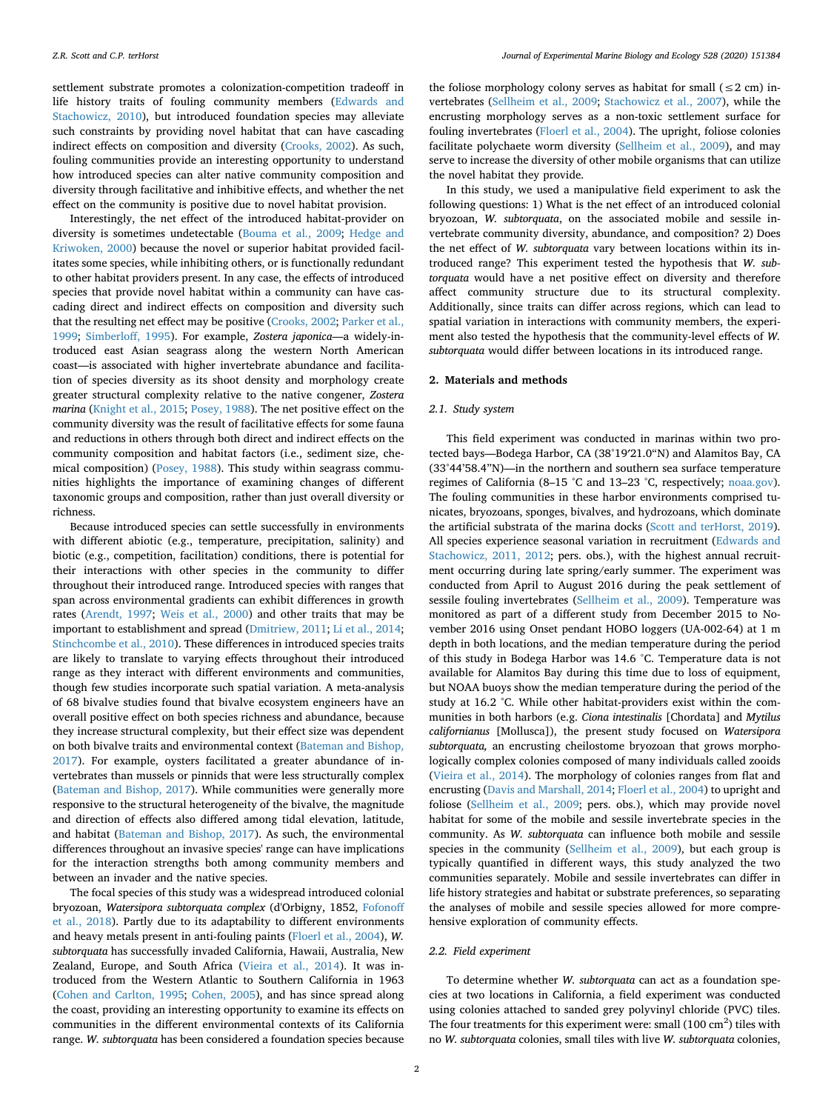settlement substrate promotes a colonization-competition tradeoff in life history traits of fouling community members ([Edwards and](#page-6-12) [Stachowicz, 2010](#page-6-12)), but introduced foundation species may alleviate such constraints by providing novel habitat that can have cascading indirect effects on composition and diversity ([Crooks, 2002\)](#page-6-10). As such, fouling communities provide an interesting opportunity to understand how introduced species can alter native community composition and diversity through facilitative and inhibitive effects, and whether the net effect on the community is positive due to novel habitat provision.

Interestingly, the net effect of the introduced habitat-provider on diversity is sometimes undetectable [\(Bouma et al., 2009;](#page-5-4) [Hedge and](#page-6-13) [Kriwoken, 2000](#page-6-13)) because the novel or superior habitat provided facilitates some species, while inhibiting others, or is functionally redundant to other habitat providers present. In any case, the effects of introduced species that provide novel habitat within a community can have cascading direct and indirect effects on composition and diversity such that the resulting net effect may be positive ([Crooks, 2002](#page-6-10); [Parker et al.,](#page-6-11) [1999;](#page-6-11) [Simberloff, 1995\)](#page-6-14). For example, *Zostera japonica*—a widely-introduced east Asian seagrass along the western North American coast—is associated with higher invertebrate abundance and facilitation of species diversity as its shoot density and morphology create greater structural complexity relative to the native congener, *Zostera marina* ([Knight et al., 2015](#page-6-15); [Posey, 1988\)](#page-6-16). The net positive effect on the community diversity was the result of facilitative effects for some fauna and reductions in others through both direct and indirect effects on the community composition and habitat factors (i.e., sediment size, chemical composition) ([Posey, 1988\)](#page-6-16). This study within seagrass communities highlights the importance of examining changes of different taxonomic groups and composition, rather than just overall diversity or richness.

Because introduced species can settle successfully in environments with different abiotic (e.g., temperature, precipitation, salinity) and biotic (e.g., competition, facilitation) conditions, there is potential for their interactions with other species in the community to differ throughout their introduced range. Introduced species with ranges that span across environmental gradients can exhibit differences in growth rates [\(Arendt, 1997;](#page-5-5) [Weis et al., 2000](#page-6-17)) and other traits that may be important to establishment and spread [\(Dmitriew, 2011;](#page-6-18) [Li et al., 2014](#page-6-19); [Stinchcombe et al., 2010](#page-6-20)). These differences in introduced species traits are likely to translate to varying effects throughout their introduced range as they interact with different environments and communities, though few studies incorporate such spatial variation. A meta-analysis of 68 bivalve studies found that bivalve ecosystem engineers have an overall positive effect on both species richness and abundance, because they increase structural complexity, but their effect size was dependent on both bivalve traits and environmental context ([Bateman and Bishop,](#page-5-6) [2017\)](#page-5-6). For example, oysters facilitated a greater abundance of invertebrates than mussels or pinnids that were less structurally complex ([Bateman and Bishop, 2017](#page-5-6)). While communities were generally more responsive to the structural heterogeneity of the bivalve, the magnitude and direction of effects also differed among tidal elevation, latitude, and habitat ([Bateman and Bishop, 2017\)](#page-5-6). As such, the environmental differences throughout an invasive species' range can have implications for the interaction strengths both among community members and between an invader and the native species.

The focal species of this study was a widespread introduced colonial bryozoan, *Watersipora subtorquata complex* (d'Orbigny, 1852, [Fofonoff](#page-6-21) [et al., 2018\)](#page-6-21). Partly due to its adaptability to different environments and heavy metals present in anti-fouling paints ([Floerl et al., 2004\)](#page-6-22), *W. subtorquata* has successfully invaded California, Hawaii, Australia, New Zealand, Europe, and South Africa [\(Vieira et al., 2014\)](#page-6-23). It was introduced from the Western Atlantic to Southern California in 1963 ([Cohen and Carlton, 1995;](#page-5-7) [Cohen, 2005\)](#page-5-8), and has since spread along the coast, providing an interesting opportunity to examine its effects on communities in the different environmental contexts of its California range. *W. subtorquata* has been considered a foundation species because

the foliose morphology colony serves as habitat for small ( $\leq$ 2 cm) invertebrates ([Sellheim et al., 2009;](#page-6-24) [Stachowicz et al., 2007\)](#page-6-25), while the encrusting morphology serves as a non-toxic settlement surface for fouling invertebrates ([Floerl et al., 2004](#page-6-22)). The upright, foliose colonies facilitate polychaete worm diversity ([Sellheim et al., 2009\)](#page-6-24), and may serve to increase the diversity of other mobile organisms that can utilize the novel habitat they provide.

In this study, we used a manipulative field experiment to ask the following questions: 1) What is the net effect of an introduced colonial bryozoan, *W. subtorquata*, on the associated mobile and sessile invertebrate community diversity, abundance, and composition? 2) Does the net effect of *W. subtorquata* vary between locations within its introduced range? This experiment tested the hypothesis that *W. subtorquata* would have a net positive effect on diversity and therefore affect community structure due to its structural complexity. Additionally, since traits can differ across regions, which can lead to spatial variation in interactions with community members, the experiment also tested the hypothesis that the community-level effects of *W. subtorquata* would differ between locations in its introduced range.

### **2. Materials and methods**

#### *2.1. Study system*

This field experiment was conducted in marinas within two protected bays—Bodega Harbor, CA (38°19′21.0"N) and Alamitos Bay, CA (33°44'58.4"N)—in the northern and southern sea surface temperature regimes of California (8–15 °C and 13–23 °C, respectively; [noaa.gov](http://noaa.gov)). The fouling communities in these harbor environments comprised tunicates, bryozoans, sponges, bivalves, and hydrozoans, which dominate the artificial substrata of the marina docks [\(Scott and terHorst, 2019](#page-6-26)). All species experience seasonal variation in recruitment ([Edwards and](#page-6-27) [Stachowicz, 2011, 2012](#page-6-27); pers. obs.), with the highest annual recruitment occurring during late spring/early summer. The experiment was conducted from April to August 2016 during the peak settlement of sessile fouling invertebrates [\(Sellheim et al., 2009](#page-6-24)). Temperature was monitored as part of a different study from December 2015 to November 2016 using Onset pendant HOBO loggers (UA-002-64) at 1 m depth in both locations, and the median temperature during the period of this study in Bodega Harbor was 14.6 °C. Temperature data is not available for Alamitos Bay during this time due to loss of equipment, but NOAA buoys show the median temperature during the period of the study at 16.2 °C. While other habitat-providers exist within the communities in both harbors (e.g. *Ciona intestinalis* [Chordata] and *Mytilus californianus* [Mollusca]), the present study focused on *Watersipora subtorquata,* an encrusting cheilostome bryozoan that grows morphologically complex colonies composed of many individuals called zooids ([Vieira et al., 2014](#page-6-23)). The morphology of colonies ranges from flat and encrusting [\(Davis and Marshall, 2014](#page-6-28); [Floerl et al., 2004\)](#page-6-22) to upright and foliose [\(Sellheim et al., 2009;](#page-6-24) pers. obs.), which may provide novel habitat for some of the mobile and sessile invertebrate species in the community. As *W. subtorquata* can influence both mobile and sessile species in the community ([Sellheim et al., 2009\)](#page-6-24), but each group is typically quantified in different ways, this study analyzed the two communities separately. Mobile and sessile invertebrates can differ in life history strategies and habitat or substrate preferences, so separating the analyses of mobile and sessile species allowed for more comprehensive exploration of community effects.

## *2.2. Field experiment*

To determine whether *W. subtorquata* can act as a foundation species at two locations in California, a field experiment was conducted using colonies attached to sanded grey polyvinyl chloride (PVC) tiles. The four treatments for this experiment were: small  $(100 \text{ cm}^2)$  tiles with no *W. subtorquata* colonies, small tiles with live *W. subtorquata* colonies,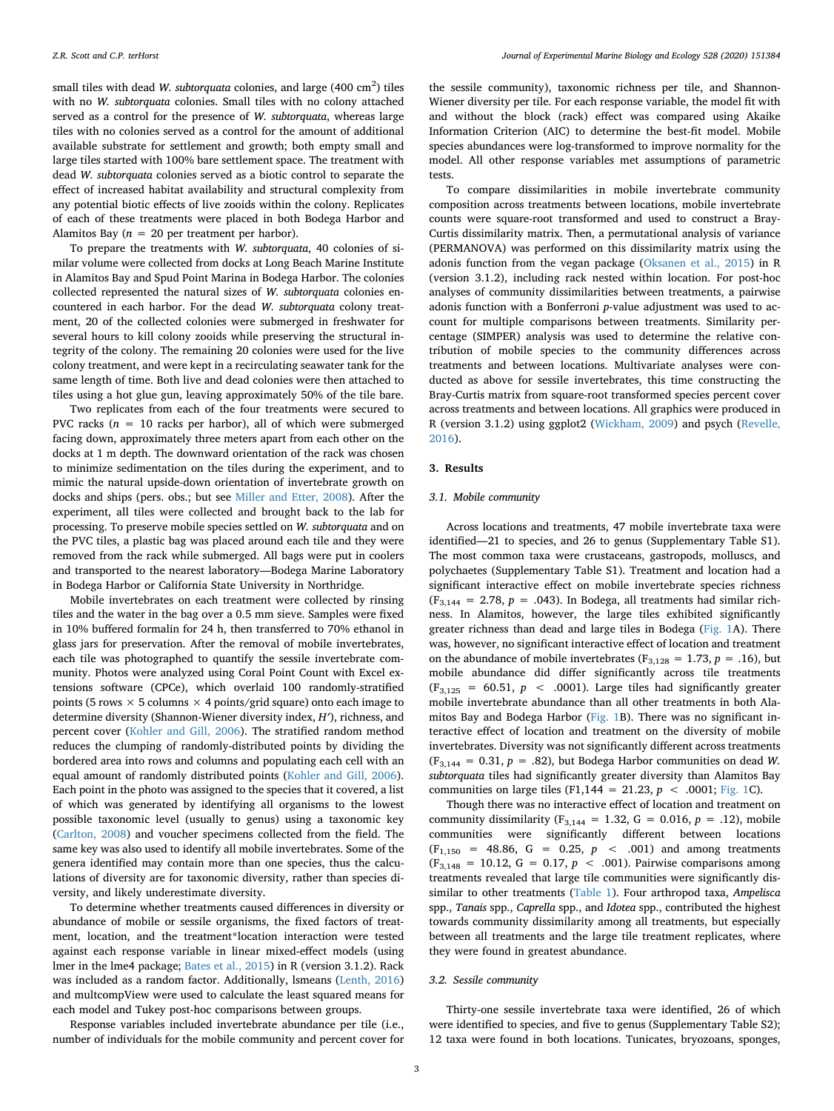small tiles with dead *W. subtorquata* colonies, and large  $(400 \text{ cm}^2)$  tiles with no *W. subtorquata* colonies. Small tiles with no colony attached served as a control for the presence of *W. subtorquata*, whereas large tiles with no colonies served as a control for the amount of additional available substrate for settlement and growth; both empty small and large tiles started with 100% bare settlement space. The treatment with dead *W. subtorquata* colonies served as a biotic control to separate the effect of increased habitat availability and structural complexity from any potential biotic effects of live zooids within the colony. Replicates of each of these treatments were placed in both Bodega Harbor and Alamitos Bay ( $n = 20$  per treatment per harbor).

To prepare the treatments with *W. subtorquata*, 40 colonies of similar volume were collected from docks at Long Beach Marine Institute in Alamitos Bay and Spud Point Marina in Bodega Harbor. The colonies collected represented the natural sizes of *W. subtorquata* colonies encountered in each harbor. For the dead *W. subtorquata* colony treatment, 20 of the collected colonies were submerged in freshwater for several hours to kill colony zooids while preserving the structural integrity of the colony. The remaining 20 colonies were used for the live colony treatment, and were kept in a recirculating seawater tank for the same length of time. Both live and dead colonies were then attached to tiles using a hot glue gun, leaving approximately 50% of the tile bare.

Two replicates from each of the four treatments were secured to PVC racks  $(n = 10$  racks per harbor), all of which were submerged facing down, approximately three meters apart from each other on the docks at 1 m depth. The downward orientation of the rack was chosen to minimize sedimentation on the tiles during the experiment, and to mimic the natural upside-down orientation of invertebrate growth on docks and ships (pers. obs.; but see [Miller and Etter, 2008\)](#page-6-29). After the experiment, all tiles were collected and brought back to the lab for processing. To preserve mobile species settled on *W. subtorquata* and on the PVC tiles, a plastic bag was placed around each tile and they were removed from the rack while submerged. All bags were put in coolers and transported to the nearest laboratory—Bodega Marine Laboratory in Bodega Harbor or California State University in Northridge.

Mobile invertebrates on each treatment were collected by rinsing tiles and the water in the bag over a 0.5 mm sieve. Samples were fixed in 10% buffered formalin for 24 h, then transferred to 70% ethanol in glass jars for preservation. After the removal of mobile invertebrates, each tile was photographed to quantify the sessile invertebrate community. Photos were analyzed using Coral Point Count with Excel extensions software (CPCe), which overlaid 100 randomly-stratified points (5 rows  $\times$  5 columns  $\times$  4 points/grid square) onto each image to determine diversity (Shannon-Wiener diversity index, *H′*), richness, and percent cover ([Kohler and Gill, 2006\)](#page-6-30). The stratified random method reduces the clumping of randomly-distributed points by dividing the bordered area into rows and columns and populating each cell with an equal amount of randomly distributed points [\(Kohler and Gill, 2006](#page-6-30)). Each point in the photo was assigned to the species that it covered, a list of which was generated by identifying all organisms to the lowest possible taxonomic level (usually to genus) using a taxonomic key ([Carlton, 2008](#page-5-9)) and voucher specimens collected from the field. The same key was also used to identify all mobile invertebrates. Some of the genera identified may contain more than one species, thus the calculations of diversity are for taxonomic diversity, rather than species diversity, and likely underestimate diversity.

To determine whether treatments caused differences in diversity or abundance of mobile or sessile organisms, the fixed factors of treatment, location, and the treatment\*location interaction were tested against each response variable in linear mixed-effect models (using lmer in the lme4 package; [Bates et al., 2015\)](#page-5-10) in R (version 3.1.2). Rack was included as a random factor. Additionally, lsmeans ([Lenth, 2016\)](#page-6-31) and multcompView were used to calculate the least squared means for each model and Tukey post-hoc comparisons between groups.

Response variables included invertebrate abundance per tile (i.e., number of individuals for the mobile community and percent cover for

the sessile community), taxonomic richness per tile, and Shannon-Wiener diversity per tile. For each response variable, the model fit with and without the block (rack) effect was compared using Akaike Information Criterion (AIC) to determine the best-fit model. Mobile species abundances were log-transformed to improve normality for the model. All other response variables met assumptions of parametric tests.

To compare dissimilarities in mobile invertebrate community composition across treatments between locations, mobile invertebrate counts were square-root transformed and used to construct a Bray-Curtis dissimilarity matrix. Then, a permutational analysis of variance (PERMANOVA) was performed on this dissimilarity matrix using the adonis function from the vegan package ([Oksanen et al., 2015\)](#page-6-32) in R (version 3.1.2), including rack nested within location. For post-hoc analyses of community dissimilarities between treatments, a pairwise adonis function with a Bonferroni *p*-value adjustment was used to account for multiple comparisons between treatments. Similarity percentage (SIMPER) analysis was used to determine the relative contribution of mobile species to the community differences across treatments and between locations. Multivariate analyses were conducted as above for sessile invertebrates, this time constructing the Bray-Curtis matrix from square-root transformed species percent cover across treatments and between locations. All graphics were produced in R (version 3.1.2) using ggplot2 ([Wickham, 2009](#page-6-33)) and psych ([Revelle,](#page-6-34) [2016\)](#page-6-34).

#### **3. Results**

#### *3.1. Mobile community*

Across locations and treatments, 47 mobile invertebrate taxa were identified—21 to species, and 26 to genus (Supplementary Table S1). The most common taxa were crustaceans, gastropods, molluscs, and polychaetes (Supplementary Table S1). Treatment and location had a significant interactive effect on mobile invertebrate species richness  $(F_{3,144} = 2.78, p = .043)$ . In Bodega, all treatments had similar richness. In Alamitos, however, the large tiles exhibited significantly greater richness than dead and large tiles in Bodega ([Fig. 1A](#page-3-0)). There was, however, no significant interactive effect of location and treatment on the abundance of mobile invertebrates ( $F_{3,128} = 1.73$ ,  $p = .16$ ), but mobile abundance did differ significantly across tile treatments  $(F_{3,125} = 60.51, p < .0001)$ . Large tiles had significantly greater mobile invertebrate abundance than all other treatments in both Alamitos Bay and Bodega Harbor ([Fig. 1B](#page-3-0)). There was no significant interactive effect of location and treatment on the diversity of mobile invertebrates. Diversity was not significantly different across treatments  $(F_{3,144} = 0.31, p = .82)$ , but Bodega Harbor communities on dead *W*. *subtorquata* tiles had significantly greater diversity than Alamitos Bay communities on large tiles (F1,144 = 21.23,  $p$  < .0001; [Fig. 1](#page-3-0)C).

Though there was no interactive effect of location and treatment on community dissimilarity (F<sub>3,144</sub> = 1.32, G = 0.016,  $p = .12$ ), mobile communities were significantly different between locations  $(F_{1,150}$  = 48.86, G = 0.25, p < .001) and among treatments  $(F_{3,148} = 10.12, G = 0.17, p < .001)$ . Pairwise comparisons among treatments revealed that large tile communities were significantly dissimilar to other treatments ([Table 1](#page-3-1)). Four arthropod taxa, *Ampelisca* spp., *Tanais* spp., *Caprella* spp., and *Idotea* spp., contributed the highest towards community dissimilarity among all treatments, but especially between all treatments and the large tile treatment replicates, where they were found in greatest abundance.

#### *3.2. Sessile community*

Thirty-one sessile invertebrate taxa were identified, 26 of which were identified to species, and five to genus (Supplementary Table S2); 12 taxa were found in both locations. Tunicates, bryozoans, sponges,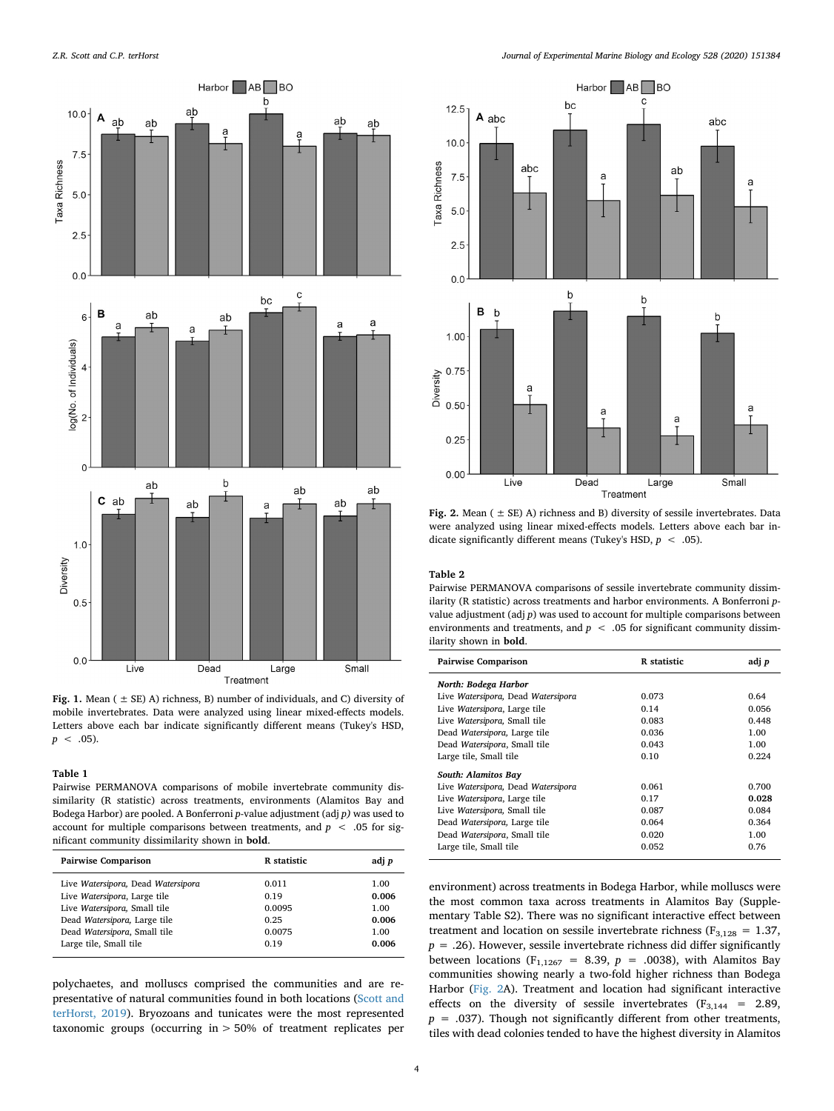<span id="page-3-0"></span>

**Fig. 1.** Mean ( ± SE) A) richness, B) number of individuals, and C) diversity of mobile invertebrates. Data were analyzed using linear mixed-effects models. Letters above each bar indicate significantly different means (Tukey's HSD,  $p \leq .05$ ).

#### <span id="page-3-1"></span>**Table 1**

Pairwise PERMANOVA comparisons of mobile invertebrate community dissimilarity (R statistic) across treatments, environments (Alamitos Bay and Bodega Harbor) are pooled. A Bonferroni *p*-value adjustment (adj *p)* was used to account for multiple comparisons between treatments, and  $p < .05$  for significant community dissimilarity shown in **bold**.

| <b>Pairwise Comparison</b>         | R statistic | adj p |
|------------------------------------|-------------|-------|
| Live Watersipora, Dead Watersipora | 0.011       | 1.00  |
| Live Watersipora, Large tile       | 0.19        | 0.006 |
| Live Watersipora, Small tile       | 0.0095      | 1.00  |
| Dead Watersipora, Large tile       | 0.25        | 0.006 |
| Dead Watersipora, Small tile       | 0.0075      | 1.00  |
| Large tile, Small tile             | 0.19        | 0.006 |

polychaetes, and molluscs comprised the communities and are representative of natural communities found in both locations ([Scott and](#page-6-26) [terHorst, 2019](#page-6-26)). Bryozoans and tunicates were the most represented taxonomic groups (occurring in > 50% of treatment replicates per

<span id="page-3-2"></span>

**Fig. 2.** Mean ( ± SE) A) richness and B) diversity of sessile invertebrates. Data were analyzed using linear mixed-effects models. Letters above each bar indicate significantly different means (Tukey's HSD, *p* < .05).

# <span id="page-3-3"></span>**Table 2**

Pairwise PERMANOVA comparisons of sessile invertebrate community dissimilarity (R statistic) across treatments and harbor environments. A Bonferroni *p*value adjustment (adj *p*) was used to account for multiple comparisons between environments and treatments, and  $p < .05$  for significant community dissimilarity shown in **bold**.

| <b>Pairwise Comparison</b>         | R statistic | adj p |
|------------------------------------|-------------|-------|
| North: Bodega Harbor               |             |       |
| Live Watersipora, Dead Watersipora | 0.073       | 0.64  |
| Live Watersipora, Large tile       | 0.14        | 0.056 |
| Live Watersipora, Small tile       | 0.083       | 0.448 |
| Dead Watersipora, Large tile       | 0.036       | 1.00  |
| Dead Watersipora, Small tile       | 0.043       | 1.00  |
| Large tile, Small tile             | 0.10        | 0.224 |
| <b>South: Alamitos Bay</b>         |             |       |
| Live Watersipora, Dead Watersipora | 0.061       | 0.700 |
| Live Watersipora, Large tile       | 0.17        | 0.028 |
| Live Watersipora, Small tile       | 0.087       | 0.084 |
| Dead Watersipora, Large tile       | 0.064       | 0.364 |
| Dead Watersipora, Small tile       | 0.020       | 1.00  |
| Large tile, Small tile             | 0.052       | 0.76  |

environment) across treatments in Bodega Harbor, while molluscs were the most common taxa across treatments in Alamitos Bay (Supplementary Table S2). There was no significant interactive effect between treatment and location on sessile invertebrate richness ( $F_{3,128} = 1.37$ , *p* = .26). However, sessile invertebrate richness did differ significantly between locations (F<sub>1,1267</sub> = 8.39,  $p = .0038$ ), with Alamitos Bay communities showing nearly a two-fold higher richness than Bodega Harbor [\(Fig. 2A](#page-3-2)). Treatment and location had significant interactive effects on the diversity of sessile invertebrates  $(F_{3,144} = 2.89,$  $p = .037$ ). Though not significantly different from other treatments, tiles with dead colonies tended to have the highest diversity in Alamitos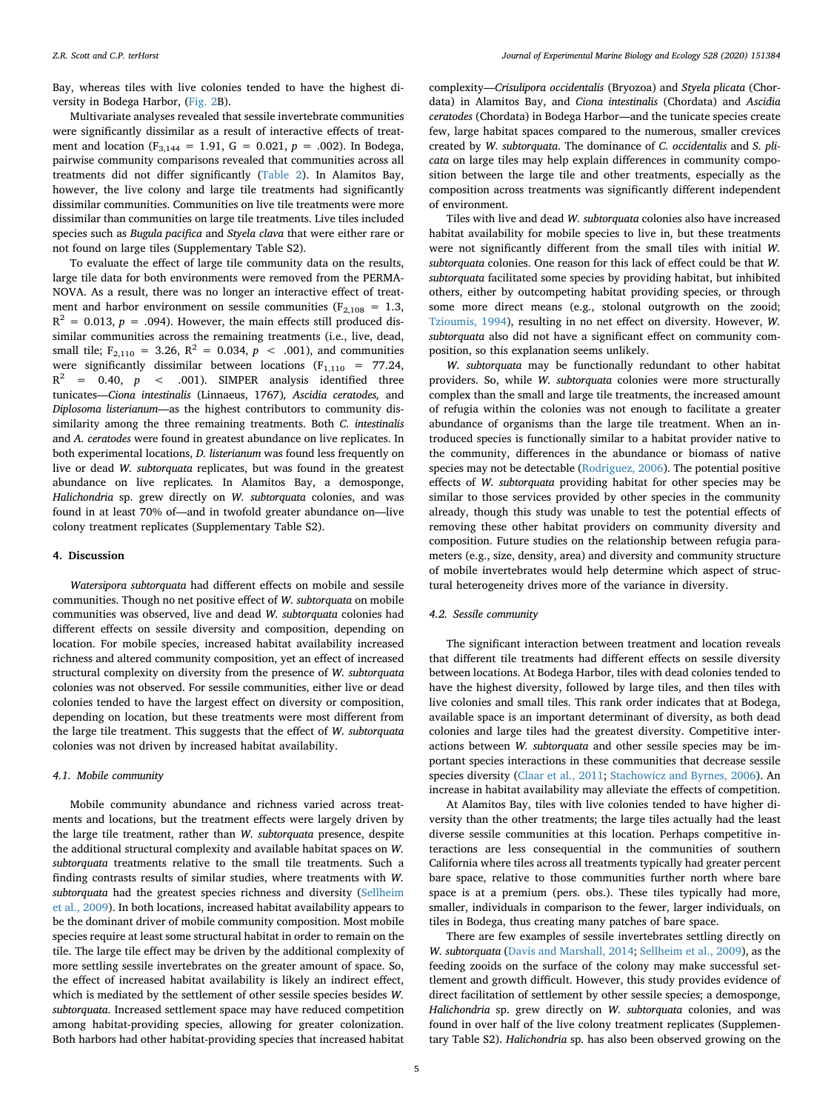Bay, whereas tiles with live colonies tended to have the highest diversity in Bodega Harbor, ([Fig. 2](#page-3-2)B).

Multivariate analyses revealed that sessile invertebrate communities were significantly dissimilar as a result of interactive effects of treatment and location ( $F_{3,144} = 1.91$ ,  $G = 0.021$ ,  $p = .002$ ). In Bodega, pairwise community comparisons revealed that communities across all treatments did not differ significantly [\(Table 2\)](#page-3-3). In Alamitos Bay, however, the live colony and large tile treatments had significantly dissimilar communities. Communities on live tile treatments were more dissimilar than communities on large tile treatments. Live tiles included species such as *Bugula pacifica* and *Styela clava* that were either rare or not found on large tiles (Supplementary Table S2).

To evaluate the effect of large tile community data on the results, large tile data for both environments were removed from the PERMA-NOVA. As a result, there was no longer an interactive effect of treatment and harbor environment on sessile communities ( $F_{2,108} = 1.3$ ,  $R<sup>2</sup> = 0.013$ ,  $p = .094$ ). However, the main effects still produced dissimilar communities across the remaining treatments (i.e., live, dead, small tile;  $F_{2,110} = 3.26$ ,  $R^2 = 0.034$ ,  $p < .001$ ), and communities were significantly dissimilar between locations  $(F<sub>1,110</sub> = 77.24,$  $R^2$  = 0.40,  $p$  < .001). SIMPER analysis identified three tunicates—*Ciona intestinalis* (Linnaeus, 1767)*, Ascidia ceratodes,* and *Diplosoma listerianum*—as the highest contributors to community dissimilarity among the three remaining treatments. Both *C. intestinalis* and *A. ceratodes* were found in greatest abundance on live replicates. In both experimental locations, *D. listerianum* was found less frequently on live or dead *W. subtorquata* replicates, but was found in the greatest abundance on live replicates*.* In Alamitos Bay, a demosponge, *Halichondria* sp. grew directly on *W. subtorquata* colonies, and was found in at least 70% of—and in twofold greater abundance on—live colony treatment replicates (Supplementary Table S2).

### **4. Discussion**

*Watersipora subtorquata* had different effects on mobile and sessile communities. Though no net positive effect of *W. subtorquata* on mobile communities was observed, live and dead *W. subtorquata* colonies had different effects on sessile diversity and composition, depending on location. For mobile species, increased habitat availability increased richness and altered community composition, yet an effect of increased structural complexity on diversity from the presence of *W. subtorquata* colonies was not observed. For sessile communities, either live or dead colonies tended to have the largest effect on diversity or composition, depending on location, but these treatments were most different from the large tile treatment. This suggests that the effect of *W. subtorquata* colonies was not driven by increased habitat availability.

#### *4.1. Mobile community*

Mobile community abundance and richness varied across treatments and locations, but the treatment effects were largely driven by the large tile treatment, rather than *W. subtorquata* presence, despite the additional structural complexity and available habitat spaces on *W. subtorquata* treatments relative to the small tile treatments. Such a finding contrasts results of similar studies, where treatments with *W. subtorquata* had the greatest species richness and diversity [\(Sellheim](#page-6-24) [et al., 2009](#page-6-24)). In both locations, increased habitat availability appears to be the dominant driver of mobile community composition. Most mobile species require at least some structural habitat in order to remain on the tile. The large tile effect may be driven by the additional complexity of more settling sessile invertebrates on the greater amount of space. So, the effect of increased habitat availability is likely an indirect effect, which is mediated by the settlement of other sessile species besides *W. subtorquata*. Increased settlement space may have reduced competition among habitat-providing species, allowing for greater colonization. Both harbors had other habitat-providing species that increased habitat

complexity—*Crisulipora occidentalis* (Bryozoa) and *Styela plicata* (Chordata) in Alamitos Bay, and *Ciona intestinalis* (Chordata) and *Ascidia ceratodes* (Chordata) in Bodega Harbor—and the tunicate species create few, large habitat spaces compared to the numerous, smaller crevices created by *W. subtorquata*. The dominance of *C. occidentalis* and *S. plicata* on large tiles may help explain differences in community composition between the large tile and other treatments, especially as the composition across treatments was significantly different independent of environment.

Tiles with live and dead *W. subtorquata* colonies also have increased habitat availability for mobile species to live in, but these treatments were not significantly different from the small tiles with initial *W. subtorquata* colonies. One reason for this lack of effect could be that *W. subtorquata* facilitated some species by providing habitat, but inhibited others, either by outcompeting habitat providing species, or through some more direct means (e.g., stolonal outgrowth on the zooid; [Tzioumis, 1994\)](#page-6-35), resulting in no net effect on diversity. However, *W. subtorquata* also did not have a significant effect on community composition, so this explanation seems unlikely.

*W. subtorquata* may be functionally redundant to other habitat providers. So, while *W. subtorquata* colonies were more structurally complex than the small and large tile treatments, the increased amount of refugia within the colonies was not enough to facilitate a greater abundance of organisms than the large tile treatment. When an introduced species is functionally similar to a habitat provider native to the community, differences in the abundance or biomass of native species may not be detectable ([Rodriguez, 2006\)](#page-6-0). The potential positive effects of *W. subtorquata* providing habitat for other species may be similar to those services provided by other species in the community already, though this study was unable to test the potential effects of removing these other habitat providers on community diversity and composition. Future studies on the relationship between refugia parameters (e.g., size, density, area) and diversity and community structure of mobile invertebrates would help determine which aspect of structural heterogeneity drives more of the variance in diversity.

## *4.2. Sessile community*

The significant interaction between treatment and location reveals that different tile treatments had different effects on sessile diversity between locations. At Bodega Harbor, tiles with dead colonies tended to have the highest diversity, followed by large tiles, and then tiles with live colonies and small tiles. This rank order indicates that at Bodega, available space is an important determinant of diversity, as both dead colonies and large tiles had the greatest diversity. Competitive interactions between *W. subtorquata* and other sessile species may be important species interactions in these communities that decrease sessile species diversity ([Claar et al., 2011](#page-5-11); [Stachowicz and Byrnes, 2006](#page-6-3)). An increase in habitat availability may alleviate the effects of competition.

At Alamitos Bay, tiles with live colonies tended to have higher diversity than the other treatments; the large tiles actually had the least diverse sessile communities at this location. Perhaps competitive interactions are less consequential in the communities of southern California where tiles across all treatments typically had greater percent bare space, relative to those communities further north where bare space is at a premium (pers. obs.). These tiles typically had more, smaller, individuals in comparison to the fewer, larger individuals, on tiles in Bodega, thus creating many patches of bare space.

There are few examples of sessile invertebrates settling directly on *W. subtorquata* [\(Davis and Marshall, 2014;](#page-6-28) [Sellheim et al., 2009\)](#page-6-24), as the feeding zooids on the surface of the colony may make successful settlement and growth difficult. However, this study provides evidence of direct facilitation of settlement by other sessile species; a demosponge, *Halichondria* sp. grew directly on *W. subtorquata* colonies, and was found in over half of the live colony treatment replicates (Supplementary Table S2). *Halichondria* sp. has also been observed growing on the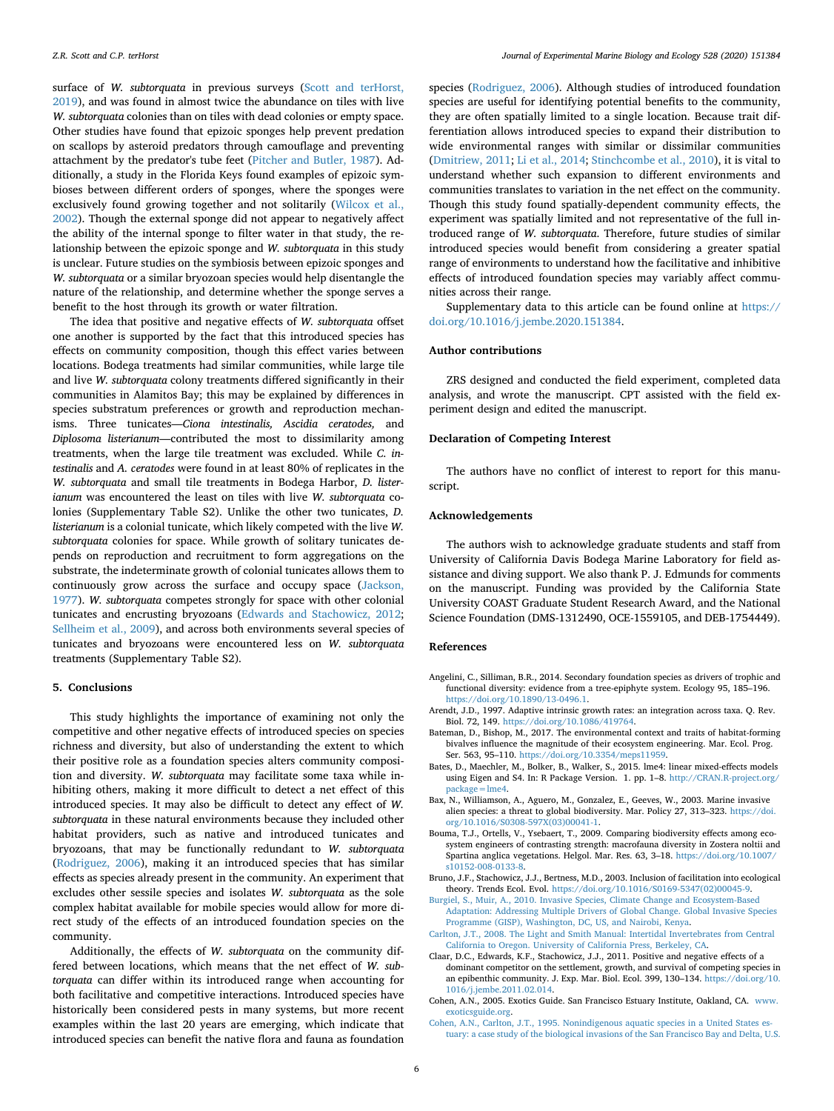surface of *W. subtorquata* in previous surveys ([Scott and terHorst,](#page-6-26) [2019\)](#page-6-26), and was found in almost twice the abundance on tiles with live *W. subtorquata* colonies than on tiles with dead colonies or empty space. Other studies have found that epizoic sponges help prevent predation on scallops by asteroid predators through camouflage and preventing attachment by the predator's tube feet [\(Pitcher and Butler, 1987](#page-6-36)). Additionally, a study in the Florida Keys found examples of epizoic symbioses between different orders of sponges, where the sponges were exclusively found growing together and not solitarily ([Wilcox et al.,](#page-6-37) [2002\)](#page-6-37). Though the external sponge did not appear to negatively affect the ability of the internal sponge to filter water in that study, the relationship between the epizoic sponge and *W. subtorquata* in this study is unclear. Future studies on the symbiosis between epizoic sponges and *W. subtorquata* or a similar bryozoan species would help disentangle the nature of the relationship, and determine whether the sponge serves a benefit to the host through its growth or water filtration.

The idea that positive and negative effects of *W. subtorquata* offset one another is supported by the fact that this introduced species has effects on community composition, though this effect varies between locations. Bodega treatments had similar communities, while large tile and live *W. subtorquata* colony treatments differed significantly in their communities in Alamitos Bay; this may be explained by differences in species substratum preferences or growth and reproduction mechanisms. Three tunicates—*Ciona intestinalis, Ascidia ceratodes,* and *Diplosoma listerianum*—contributed the most to dissimilarity among treatments, when the large tile treatment was excluded. While *C. intestinalis* and *A. ceratodes* were found in at least 80% of replicates in the *W. subtorquata* and small tile treatments in Bodega Harbor, *D. listerianum* was encountered the least on tiles with live *W. subtorquata* colonies (Supplementary Table S2). Unlike the other two tunicates, *D. listerianum* is a colonial tunicate, which likely competed with the live *W. subtorquata* colonies for space. While growth of solitary tunicates depends on reproduction and recruitment to form aggregations on the substrate, the indeterminate growth of colonial tunicates allows them to continuously grow across the surface and occupy space ([Jackson,](#page-6-38) [1977\)](#page-6-38). *W. subtorquata* competes strongly for space with other colonial tunicates and encrusting bryozoans ([Edwards and Stachowicz, 2012](#page-6-39); [Sellheim et al., 2009\)](#page-6-24), and across both environments several species of tunicates and bryozoans were encountered less on *W. subtorquata* treatments (Supplementary Table S2).

#### **5. Conclusions**

This study highlights the importance of examining not only the competitive and other negative effects of introduced species on species richness and diversity, but also of understanding the extent to which their positive role as a foundation species alters community composition and diversity. *W. subtorquata* may facilitate some taxa while inhibiting others, making it more difficult to detect a net effect of this introduced species. It may also be difficult to detect any effect of *W. subtorquata* in these natural environments because they included other habitat providers, such as native and introduced tunicates and bryozoans, that may be functionally redundant to *W. subtorquata* ([Rodriguez, 2006](#page-6-0)), making it an introduced species that has similar effects as species already present in the community. An experiment that excludes other sessile species and isolates *W. subtorquata* as the sole complex habitat available for mobile species would allow for more direct study of the effects of an introduced foundation species on the community.

Additionally, the effects of *W. subtorquata* on the community differed between locations, which means that the net effect of *W. subtorquata* can differ within its introduced range when accounting for both facilitative and competitive interactions. Introduced species have historically been considered pests in many systems, but more recent examples within the last 20 years are emerging, which indicate that introduced species can benefit the native flora and fauna as foundation

species [\(Rodriguez, 2006](#page-6-0)). Although studies of introduced foundation species are useful for identifying potential benefits to the community, they are often spatially limited to a single location. Because trait differentiation allows introduced species to expand their distribution to wide environmental ranges with similar or dissimilar communities ([Dmitriew, 2011](#page-6-18); [Li et al., 2014](#page-6-19); [Stinchcombe et al., 2010](#page-6-20)), it is vital to understand whether such expansion to different environments and communities translates to variation in the net effect on the community. Though this study found spatially-dependent community effects, the experiment was spatially limited and not representative of the full introduced range of *W. subtorquata*. Therefore, future studies of similar introduced species would benefit from considering a greater spatial range of environments to understand how the facilitative and inhibitive effects of introduced foundation species may variably affect communities across their range.

Supplementary data to this article can be found online at [https://](https://doi.org/10.1016/j.jembe.2020.151384) [doi.org/10.1016/j.jembe.2020.151384.](https://doi.org/10.1016/j.jembe.2020.151384)

### **Author contributions**

ZRS designed and conducted the field experiment, completed data analysis, and wrote the manuscript. CPT assisted with the field experiment design and edited the manuscript.

# **Declaration of Competing Interest**

The authors have no conflict of interest to report for this manuscript.

# **Acknowledgements**

The authors wish to acknowledge graduate students and staff from University of California Davis Bodega Marine Laboratory for field assistance and diving support. We also thank P. J. Edmunds for comments on the manuscript. Funding was provided by the California State University COAST Graduate Student Research Award, and the National Science Foundation (DMS-1312490, OCE-1559105, and DEB-1754449).

#### **References**

- <span id="page-5-1"></span>Angelini, C., Silliman, B.R., 2014. Secondary foundation species as drivers of trophic and functional diversity: evidence from a tree-epiphyte system. Ecology 95, 185–196. <https://doi.org/10.1890/13-0496.1>.
- <span id="page-5-5"></span>Arendt, J.D., 1997. Adaptive intrinsic growth rates: an integration across taxa. Q. Rev. Biol. 72, 149. [https://doi.org/10.1086/419764.](https://doi.org/10.1086/419764)
- <span id="page-5-6"></span>Bateman, D., Bishop, M., 2017. The environmental context and traits of habitat-forming bivalves influence the magnitude of their ecosystem engineering. Mar. Ecol. Prog. Ser. 563, 95–110. [https://doi.org/10.3354/meps11959.](https://doi.org/10.3354/meps11959)
- <span id="page-5-10"></span>Bates, D., Maechler, M., Bolker, B., Walker, S., 2015. lme4: linear mixed-effects models using Eigen and S4. In: R Package Version. 1. pp. 1-8. [http://CRAN.R-project.org/](http://CRAN.R-project.org/package=lme4) [package=lme4.](http://CRAN.R-project.org/package=lme4)
- <span id="page-5-3"></span>Bax, N., Williamson, A., Aguero, M., Gonzalez, E., Geeves, W., 2003. Marine invasive alien species: a threat to global biodiversity. Mar. Policy 27, 313–323. [https://doi.](https://doi.org/10.1016/S0308-597X(03)00041-1) [org/10.1016/S0308-597X\(03\)00041-1.](https://doi.org/10.1016/S0308-597X(03)00041-1)
- <span id="page-5-4"></span>Bouma, T.J., Ortells, V., Ysebaert, T., 2009. Comparing biodiversity effects among ecosystem engineers of contrasting strength: macrofauna diversity in Zostera noltii and Spartina anglica vegetations. Helgol. Mar. Res. 63, 3–18. [https://doi.org/10.1007/](https://doi.org/10.1007/s10152-008-0133-8) [s10152-008-0133-8.](https://doi.org/10.1007/s10152-008-0133-8)
- <span id="page-5-0"></span>Bruno, J.F., Stachowicz, J.J., Bertness, M.D., 2003. Inclusion of facilitation into ecological theory. Trends Ecol. Evol. [https://doi.org/10.1016/S0169-5347\(02\)00045-9.](https://doi.org/10.1016/S0169-5347(02)00045-9)
- <span id="page-5-2"></span>[Burgiel, S., Muir, A., 2010. Invasive Species, Climate Change and Ecosystem-Based](http://refhub.elsevier.com/S0022-0981(19)30244-8/rf0040) [Adaptation: Addressing Multiple Drivers of Global Change. Global Invasive Species](http://refhub.elsevier.com/S0022-0981(19)30244-8/rf0040) [Programme \(GISP\), Washington, DC, US, and Nairobi, Kenya](http://refhub.elsevier.com/S0022-0981(19)30244-8/rf0040).
- <span id="page-5-9"></span>[Carlton, J.T., 2008. The Light and Smith Manual: Intertidal Invertebrates from Central](http://refhub.elsevier.com/S0022-0981(19)30244-8/rf2005) [California to Oregon. University of California Press, Berkeley, CA.](http://refhub.elsevier.com/S0022-0981(19)30244-8/rf2005)
- <span id="page-5-11"></span>Claar, D.C., Edwards, K.F., Stachowicz, J.J., 2011. Positive and negative effects of a dominant competitor on the settlement, growth, and survival of competing species in an epibenthic community. J. Exp. Mar. Biol. Ecol. 399, 130–134. [https://doi.org/10.](https://doi.org/10.1016/j.jembe.2011.02.014) [1016/j.jembe.2011.02.014](https://doi.org/10.1016/j.jembe.2011.02.014).
- <span id="page-5-8"></span>Cohen, A.N., 2005. Exotics Guide. San Francisco Estuary Institute, Oakland, CA. [www.](http://www.exoticsguide.org) [exoticsguide.org.](http://www.exoticsguide.org)
- <span id="page-5-7"></span>[Cohen, A.N., Carlton, J.T., 1995. Nonindigenous aquatic species in a United States es](http://refhub.elsevier.com/S0022-0981(19)30244-8/rf0060)[tuary: a case study of the biological invasions of the San Francisco Bay and Delta, U.S.](http://refhub.elsevier.com/S0022-0981(19)30244-8/rf0060)